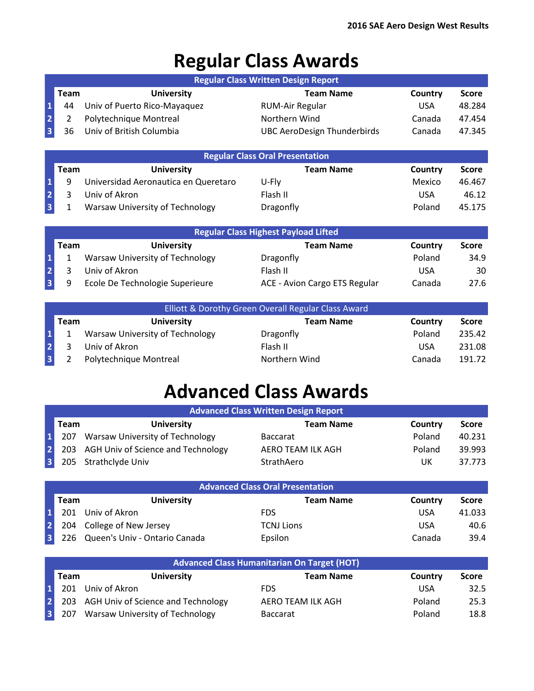## **Regular Class Awards**

|                         |                |                                      | <b>Regular Class Written Design Report</b>  |            |              |
|-------------------------|----------------|--------------------------------------|---------------------------------------------|------------|--------------|
|                         | <b>Team</b>    | <b>University</b>                    | <b>Team Name</b>                            | Country    | <b>Score</b> |
| $\mathbf 1$             | 44             | Univ of Puerto Rico-Mayaquez         | <b>RUM-Air Regular</b>                      | <b>USA</b> | 48.284       |
| $\overline{2}$          | $\overline{2}$ | Polytechnique Montreal               | Northern Wind                               | Canada     | 47.454       |
| $\overline{\mathbf{3}}$ | 36             | Univ of British Columbia             | UBC AeroDesign Thunderbirds                 | Canada     | 47.345       |
|                         |                |                                      |                                             |            |              |
|                         |                |                                      | <b>Regular Class Oral Presentation</b>      |            |              |
|                         | <b>Team</b>    | <b>University</b>                    | <b>Team Name</b>                            | Country    | <b>Score</b> |
| 1                       | 9              | Universidad Aeronautica en Queretaro | U-Fly                                       | Mexico     | 46.467       |
| $\overline{2}$          | 3              | Univ of Akron                        | Flash II                                    | <b>USA</b> | 46.12        |
| $\overline{\mathbf{3}}$ | 1              | Warsaw University of Technology      | Dragonfly                                   | Poland     | 45.175       |
|                         |                |                                      |                                             |            |              |
|                         |                |                                      | <b>Regular Class Highest Payload Lifted</b> |            |              |
|                         | <b>Team</b>    | <b>University</b>                    | <b>Team Name</b>                            | Country    | <b>Score</b> |
| $\mathbf{1}$            | 1              | Warsaw University of Technology      | Dragonfly                                   | Poland     | 34.9         |
| $\overline{2}$          | 3              | Univ of Akron                        | Flash II                                    | <b>USA</b> | 30           |
| $\overline{\mathbf{3}}$ | 9              | Ecole De Technologie Superieure      | ACE - Avion Cargo ETS Regular               | Canada     | 27.6         |

| Elliott & Dorothy Green Overall Regular Class Award |      |                                 |                  |         |              |
|-----------------------------------------------------|------|---------------------------------|------------------|---------|--------------|
|                                                     | Team | <b>University</b>               | <b>Team Name</b> | Country | <b>Score</b> |
| $\vert$ 1                                           |      | Warsaw University of Technology | Dragonfly        | Poland  | 235.42       |
| $\overline{2}$                                      |      | Univ of Akron                   | Flash II         | USA     | 231.08       |
| $\overline{\mathbf{3}}$                             |      | Polytechnique Montreal          | Northern Wind    | Canada  | 191.72       |

## **Advanced Class Awards**

|                 | <b>Advanced Class Written Design Report</b> |                                        |                   |         |              |  |  |
|-----------------|---------------------------------------------|----------------------------------------|-------------------|---------|--------------|--|--|
|                 | <b>Team</b>                                 | <b>University</b>                      | <b>Team Name</b>  | Country | <b>Score</b> |  |  |
| $\mathbf{1}$    | 207                                         | Warsaw University of Technology        | <b>Baccarat</b>   | Poland  | 40.231       |  |  |
| 2               |                                             | 203 AGH Univ of Science and Technology | AERO TEAM ILK AGH | Poland  | 39.993       |  |  |
| $\vert 3 \vert$ |                                             | 205 Strathclyde Univ                   | StrathAero        | UK      | 37.773       |  |  |
|                 |                                             |                                        |                   |         |              |  |  |

|           | <b>Advanced Class Oral Presentation</b> |                               |                   |         |              |  |  |
|-----------|-----------------------------------------|-------------------------------|-------------------|---------|--------------|--|--|
|           | Team                                    | <b>University</b>             | <b>Team Name</b>  | Country | <b>Score</b> |  |  |
| $\vert$ 1 | 201                                     | Univ of Akron                 | <b>FDS</b>        | USA     | 41.033       |  |  |
| 2         |                                         | 204 College of New Jersey     | <b>TCNJ Lions</b> | USA     | 40.6         |  |  |
| 3         | 226                                     | Queen's Univ - Ontario Canada | <b>Epsilon</b>    | Canada  | 39.4         |  |  |

| <b>Advanced Class Humanitarian On Target (HOT)</b> |      |                                        |                   |         |              |
|----------------------------------------------------|------|----------------------------------------|-------------------|---------|--------------|
|                                                    | Team | <b>University</b>                      | <b>Team Name</b>  | Country | <b>Score</b> |
| $\vert$ 1                                          | 201  | Univ of Akron                          | <b>FDS</b>        | USA     | 32.5         |
| 2                                                  |      | 203 AGH Univ of Science and Technology | AERO TEAM ILK AGH | Poland  | 25.3         |
| 3                                                  |      | 207 Warsaw University of Technology    | <b>Baccarat</b>   | Poland  | 18.8         |